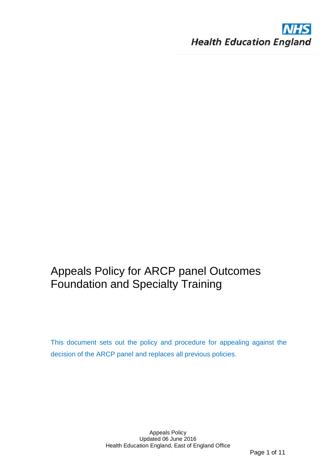

# Appeals Policy for ARCP panel Outcomes Foundation and Specialty Training

This document sets out the policy and procedure for appealing against the decision of the ARCP panel and replaces all previous policies.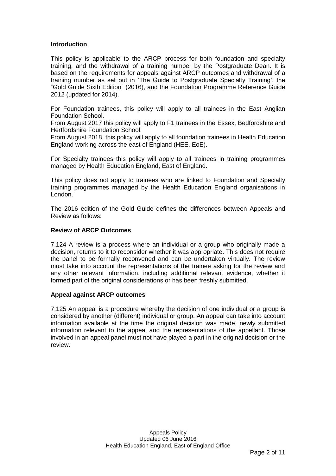# **Introduction**

This policy is applicable to the ARCP process for both foundation and specialty training, and the withdrawal of a training number by the Postgraduate Dean. It is based on the requirements for appeals against ARCP outcomes and withdrawal of a training number as set out in 'The Guide to Postgraduate Specialty Training', the "Gold Guide Sixth Edition" (2016), and the Foundation Programme Reference Guide 2012 (updated for 2014).

For Foundation trainees, this policy will apply to all trainees in the East Anglian Foundation School.

From August 2017 this policy will apply to F1 trainees in the Essex, Bedfordshire and Hertfordshire Foundation School.

From August 2018, this policy will apply to all foundation trainees in Health Education England working across the east of England (HEE, EoE).

For Specialty trainees this policy will apply to all trainees in training programmes managed by Health Education England, East of England.

This policy does not apply to trainees who are linked to Foundation and Specialty training programmes managed by the Health Education England organisations in London.

The 2016 edition of the Gold Guide defines the differences between Appeals and Review as follows:

#### **Review of ARCP Outcomes**

7.124 A review is a process where an individual or a group who originally made a decision, returns to it to reconsider whether it was appropriate. This does not require the panel to be formally reconvened and can be undertaken virtually. The review must take into account the representations of the trainee asking for the review and any other relevant information, including additional relevant evidence, whether it formed part of the original considerations or has been freshly submitted.

#### **Appeal against ARCP outcomes**

7.125 An appeal is a procedure whereby the decision of one individual or a group is considered by another (different) individual or group. An appeal can take into account information available at the time the original decision was made, newly submitted information relevant to the appeal and the representations of the appellant. Those involved in an appeal panel must not have played a part in the original decision or the review.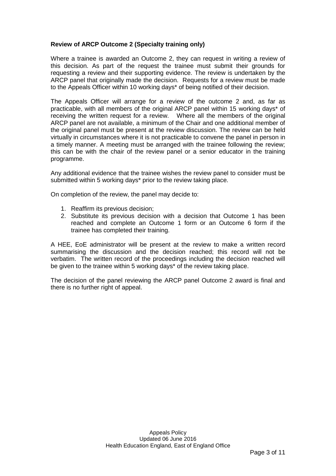# **Review of ARCP Outcome 2 (Specialty training only)**

Where a trainee is awarded an Outcome 2, they can request in writing a review of this decision. As part of the request the trainee must submit their grounds for requesting a review and their supporting evidence. The review is undertaken by the ARCP panel that originally made the decision. Requests for a review must be made to the Appeals Officer within 10 working days\* of being notified of their decision.

The Appeals Officer will arrange for a review of the outcome 2 and, as far as practicable, with all members of the original ARCP panel within 15 working days\* of receiving the written request for a review. Where all the members of the original ARCP panel are not available, a minimum of the Chair and one additional member of the original panel must be present at the review discussion. The review can be held virtually in circumstances where it is not practicable to convene the panel in person in a timely manner. A meeting must be arranged with the trainee following the review; this can be with the chair of the review panel or a senior educator in the training programme.

Any additional evidence that the trainee wishes the review panel to consider must be submitted within 5 working days\* prior to the review taking place.

On completion of the review, the panel may decide to:

- 1. Reaffirm its previous decision;
- 2. Substitute its previous decision with a decision that Outcome 1 has been reached and complete an Outcome 1 form or an Outcome 6 form if the trainee has completed their training.

A HEE, EoE administrator will be present at the review to make a written record summarising the discussion and the decision reached; this record will not be verbatim. The written record of the proceedings including the decision reached will be given to the trainee within 5 working days\* of the review taking place.

The decision of the panel reviewing the ARCP panel Outcome 2 award is final and there is no further right of appeal.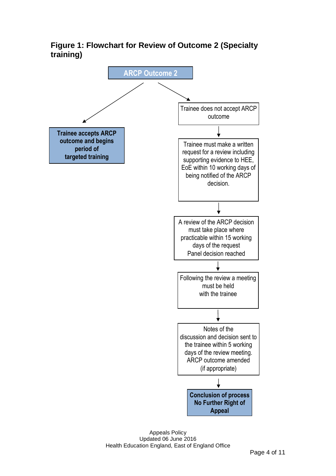**Figure 1: Flowchart for Review of Outcome 2 (Specialty training)**

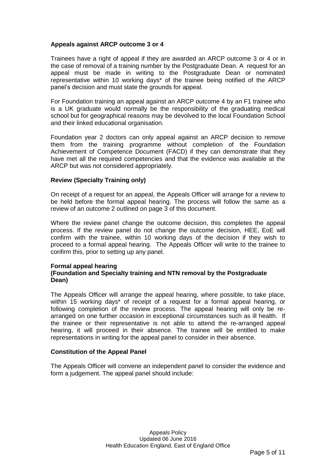# **Appeals against ARCP outcome 3 or 4**

Trainees have a right of appeal if they are awarded an ARCP outcome 3 or 4 or in the case of removal of a training number by the Postgraduate Dean. A request for an appeal must be made in writing to the Postgraduate Dean or nominated representative within 10 working days\* of the trainee being notified of the ARCP panel's decision and must state the grounds for appeal.

For Foundation training an appeal against an ARCP outcome 4 by an F1 trainee who is a UK graduate would normally be the responsibility of the graduating medical school but for geographical reasons may be devolved to the local Foundation School and their linked educational organisation.

Foundation year 2 doctors can only appeal against an ARCP decision to remove them from the training programme without completion of the Foundation Achievement of Competence Document (FACD) if they can demonstrate that they have met all the required competencies and that the evidence was available at the ARCP but was not considered appropriately.

#### **Review (Specialty Training only)**

On receipt of a request for an appeal, the Appeals Officer will arrange for a review to be held before the formal appeal hearing. The process will follow the same as a review of an outcome 2 outlined on page 3 of this document.

Where the review panel change the outcome decision, this completes the appeal process. If the review panel do not change the outcome decision, HEE, EoE will confirm with the trainee, within 10 working days of the decision if they wish to proceed to a formal appeal hearing. The Appeals Officer will write to the trainee to confirm this, prior to setting up any panel.

#### **Formal appeal hearing (Foundation and Specialty training and NTN removal by the Postgraduate Dean)**

The Appeals Officer will arrange the appeal hearing, where possible, to take place, within 15 working days\* of receipt of a request for a formal appeal hearing, or following completion of the review process. The appeal hearing will only be rearranged on one further occasion in exceptional circumstances such as ill health. If the trainee or their representative is not able to attend the re-arranged appeal hearing, it will proceed in their absence. The trainee will be entitled to make representations in writing for the appeal panel to consider in their absence.

#### **Constitution of the Appeal Panel**

The Appeals Officer will convene an independent panel to consider the evidence and form a judgement. The appeal panel should include: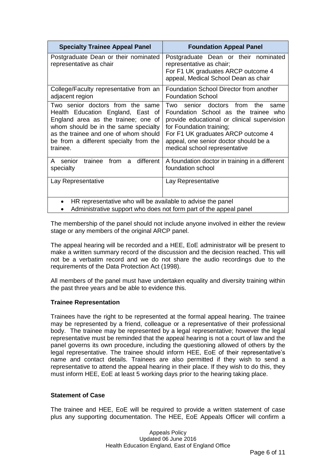| <b>Specialty Trainee Appeal Panel</b>                                                                                                                                                                                                               | <b>Foundation Appeal Panel</b>                                                                                                                                                                                                                                                     |  |
|-----------------------------------------------------------------------------------------------------------------------------------------------------------------------------------------------------------------------------------------------------|------------------------------------------------------------------------------------------------------------------------------------------------------------------------------------------------------------------------------------------------------------------------------------|--|
| Postgraduate Dean or their nominated<br>representative as chair                                                                                                                                                                                     | Postgraduate Dean or their nominated<br>representative as chair;<br>For F1 UK graduates ARCP outcome 4<br>appeal, Medical School Dean as chair                                                                                                                                     |  |
| College/Faculty representative from an<br>adjacent region                                                                                                                                                                                           | Foundation School Director from another<br><b>Foundation School</b>                                                                                                                                                                                                                |  |
| Two senior doctors from the same<br>Health Education England, East of<br>England area as the trainee; one of<br>whom should be in the same specialty<br>as the trainee and one of whom should<br>be from a different specialty from the<br>trainee. | Two<br>senior<br>doctors<br>from<br>the<br>same<br>Foundation School as the trainee who<br>provide educational or clinical supervision<br>for Foundation training;<br>For F1 UK graduates ARCP outcome 4<br>appeal, one senior doctor should be a<br>medical school representative |  |
| different<br>A senior<br>trainee from<br>$\mathbf{a}$<br>specialty                                                                                                                                                                                  | A foundation doctor in training in a different<br>foundation school                                                                                                                                                                                                                |  |
| Lay Representative                                                                                                                                                                                                                                  | Lay Representative                                                                                                                                                                                                                                                                 |  |
| HR representative who will be available to advise the panel<br>$\bullet$<br>Administrative support who does not form part of the appeal panel                                                                                                       |                                                                                                                                                                                                                                                                                    |  |

The membership of the panel should not include anyone involved in either the review stage or any members of the original ARCP panel.

The appeal hearing will be recorded and a HEE, EoE administrator will be present to make a written summary record of the discussion and the decision reached. This will not be a verbatim record and we do not share the audio recordings due to the requirements of the Data Protection Act (1998).

All members of the panel must have undertaken equality and diversity training within the past three years and be able to evidence this.

#### **Trainee Representation**

Trainees have the right to be represented at the formal appeal hearing. The trainee may be represented by a friend, colleague or a representative of their professional body. The trainee may be represented by a legal representative; however the legal representative must be reminded that the appeal hearing is not a court of law and the panel governs its own procedure, including the questioning allowed of others by the legal representative. The trainee should inform HEE, EoE of their representative's name and contact details. Trainees are also permitted if they wish to send a representative to attend the appeal hearing in their place. If they wish to do this, they must inform HEE, EoE at least 5 working days prior to the hearing taking place.

#### **Statement of Case**

The trainee and HEE, EoE will be required to provide a written statement of case plus any supporting documentation. The HEE, EoE Appeals Officer will confirm a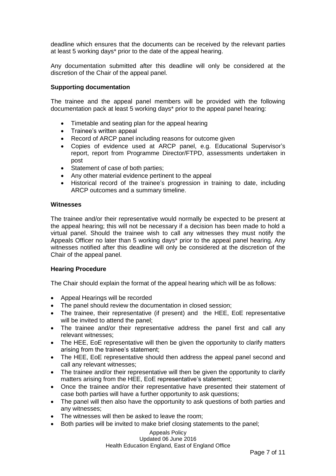deadline which ensures that the documents can be received by the relevant parties at least 5 working days\* prior to the date of the appeal hearing.

Any documentation submitted after this deadline will only be considered at the discretion of the Chair of the appeal panel.

#### **Supporting documentation**

The trainee and the appeal panel members will be provided with the following documentation pack at least 5 working days\* prior to the appeal panel hearing:

- Timetable and seating plan for the appeal hearing
- Trainee's written appeal
- Record of ARCP panel including reasons for outcome given
- Copies of evidence used at ARCP panel, e.g. Educational Supervisor's report, report from Programme Director/FTPD, assessments undertaken in post
- Statement of case of both parties;
- Any other material evidence pertinent to the appeal
- Historical record of the trainee's progression in training to date, including ARCP outcomes and a summary timeline.

#### **Witnesses**

The trainee and/or their representative would normally be expected to be present at the appeal hearing; this will not be necessary if a decision has been made to hold a virtual panel. Should the trainee wish to call any witnesses they must notify the Appeals Officer no later than 5 working days\* prior to the appeal panel hearing. Any witnesses notified after this deadline will only be considered at the discretion of the Chair of the appeal panel.

#### **Hearing Procedure**

The Chair should explain the format of the appeal hearing which will be as follows:

- Appeal Hearings will be recorded
- The panel should review the documentation in closed session;
- The trainee, their representative (if present) and the HEE, EoE representative will be invited to attend the panel;
- The trainee and/or their representative address the panel first and call any relevant witnesses;
- The HEE, EoE representative will then be given the opportunity to clarify matters arising from the trainee's statement;
- The HEE, EoE representative should then address the appeal panel second and call any relevant witnesses;
- The trainee and/or their representative will then be given the opportunity to clarify matters arising from the HEE, EoE representative's statement;
- Once the trainee and/or their representative have presented their statement of case both parties will have a further opportunity to ask questions;
- The panel will then also have the opportunity to ask questions of both parties and any witnesses;
- The witnesses will then be asked to leave the room;
- Both parties will be invited to make brief closing statements to the panel;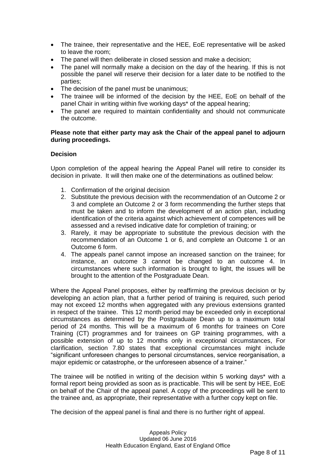- The trainee, their representative and the HEE, EoE representative will be asked to leave the room;
- The panel will then deliberate in closed session and make a decision:
- The panel will normally make a decision on the day of the hearing. If this is not possible the panel will reserve their decision for a later date to be notified to the parties;
- The decision of the panel must be unanimous;
- The trainee will be informed of the decision by the HEE, EoE on behalf of the panel Chair in writing within five working days\* of the appeal hearing;
- The panel are required to maintain confidentiality and should not communicate the outcome.

#### **Please note that either party may ask the Chair of the appeal panel to adjourn during proceedings.**

# **Decision**

Upon completion of the appeal hearing the Appeal Panel will retire to consider its decision in private. It will then make one of the determinations as outlined below:

- 1. Confirmation of the original decision
- 2. Substitute the previous decision with the recommendation of an Outcome 2 or 3 and complete an Outcome 2 or 3 form recommending the further steps that must be taken and to inform the development of an action plan, including identification of the criteria against which achievement of competences will be assessed and a revised indicative date for completion of training; or
- 3. Rarely, it may be appropriate to substitute the previous decision with the recommendation of an Outcome 1 or 6, and complete an Outcome 1 or an Outcome 6 form.
- 4. The appeals panel cannot impose an increased sanction on the trainee; for instance, an outcome 3 cannot be changed to an outcome 4. In circumstances where such information is brought to light, the issues will be brought to the attention of the Postgraduate Dean.

Where the Appeal Panel proposes, either by reaffirming the previous decision or by developing an action plan, that a further period of training is required, such period may not exceed 12 months when aggregated with any previous extensions granted in respect of the trainee. This 12 month period may be exceeded only in exceptional circumstances as determined by the Postgraduate Dean up to a maximum total period of 24 months. This will be a maximum of 6 months for trainees on Core Training (CT) programmes and for trainees on GP training programmes, with a possible extension of up to 12 months only in exceptional circumstances, For clarification, section 7.80 states that exceptional circumstances might include "significant unforeseen changes to personal circumstances, service reorganisation, a major epidemic or catastrophe, or the unforeseen absence of a trainer."

The trainee will be notified in writing of the decision within 5 working days\* with a formal report being provided as soon as is practicable. This will be sent by HEE, EoE on behalf of the Chair of the appeal panel. A copy of the proceedings will be sent to the trainee and, as appropriate, their representative with a further copy kept on file.

The decision of the appeal panel is final and there is no further right of appeal.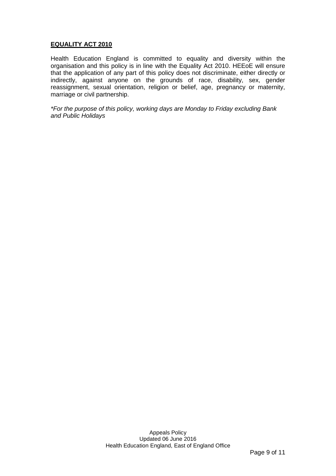# **EQUALITY ACT 2010**

Health Education England is committed to equality and diversity within the organisation and this policy is in line with the Equality Act 2010. HEEoE will ensure that the application of any part of this policy does not discriminate, either directly or indirectly, against anyone on the grounds of race, disability, sex, gender reassignment, sexual orientation, religion or belief, age, pregnancy or maternity, marriage or civil partnership.

*\*For the purpose of this policy, working days are Monday to Friday excluding Bank and Public Holidays*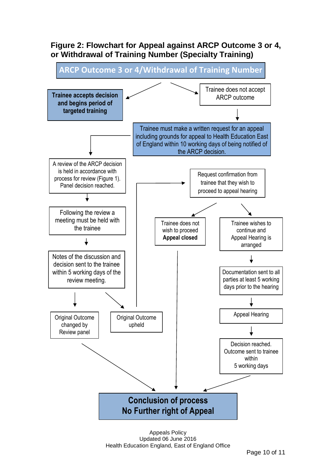# **Figure 2: Flowchart for Appeal against ARCP Outcome 3 or 4, or Withdrawal of Training Number (Specialty Training)**



Appeals Policy Updated 06 June 2016 Health Education England, East of England Office